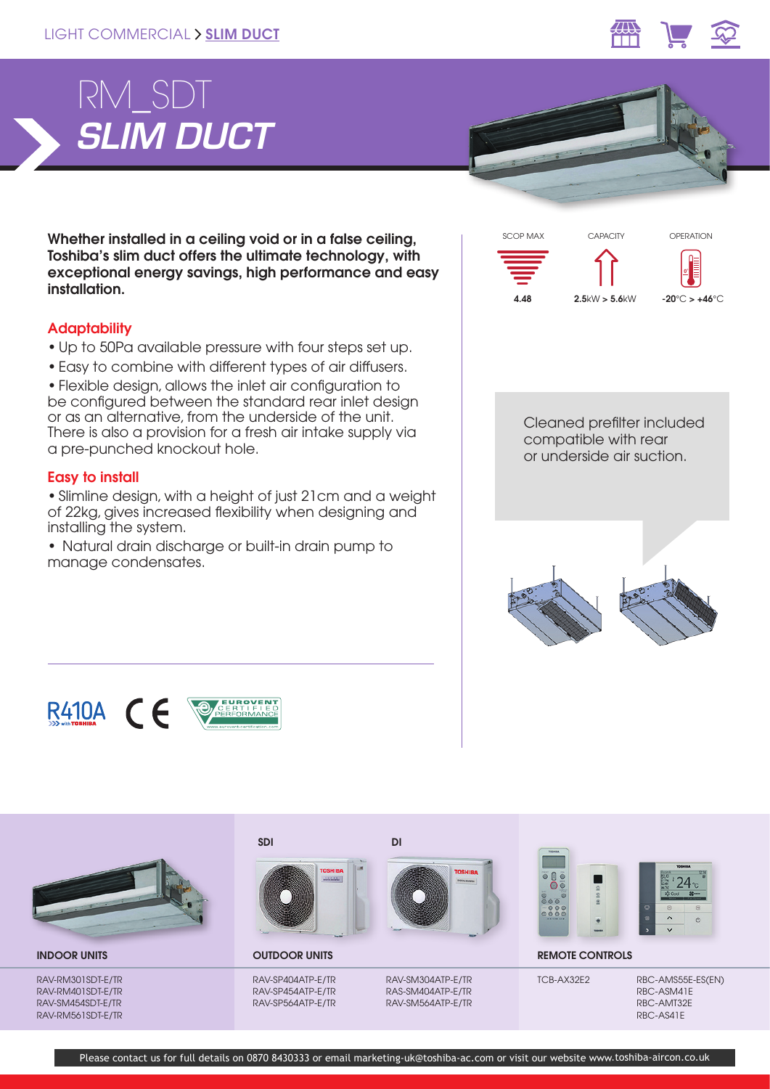



Whether installed in a ceiling void or in a false ceiling, Toshiba's slim duct offers the ultimate technology, with exceptional energy savings, high performance and easy installation.

# **Adaptability**

- Up to 50Pa available pressure with four steps set up.
- Easy to combine with different types of air diffusers.

• Flexible design, allows the inlet air configuration to be configured between the standard rear inlet design or as an alternative, from the underside of the unit. There is also a provision for a fresh air intake supply via a pre-punched knockout hole.

## Easy to install

• Slimline design, with a height of just 21cm and a weight of 22kg, gives increased flexibility when designing and installing the system.

• Natural drain discharge or built-in drain pump to manage condensates.



Cleaned prefilter included compatible with rear or underside air suction.